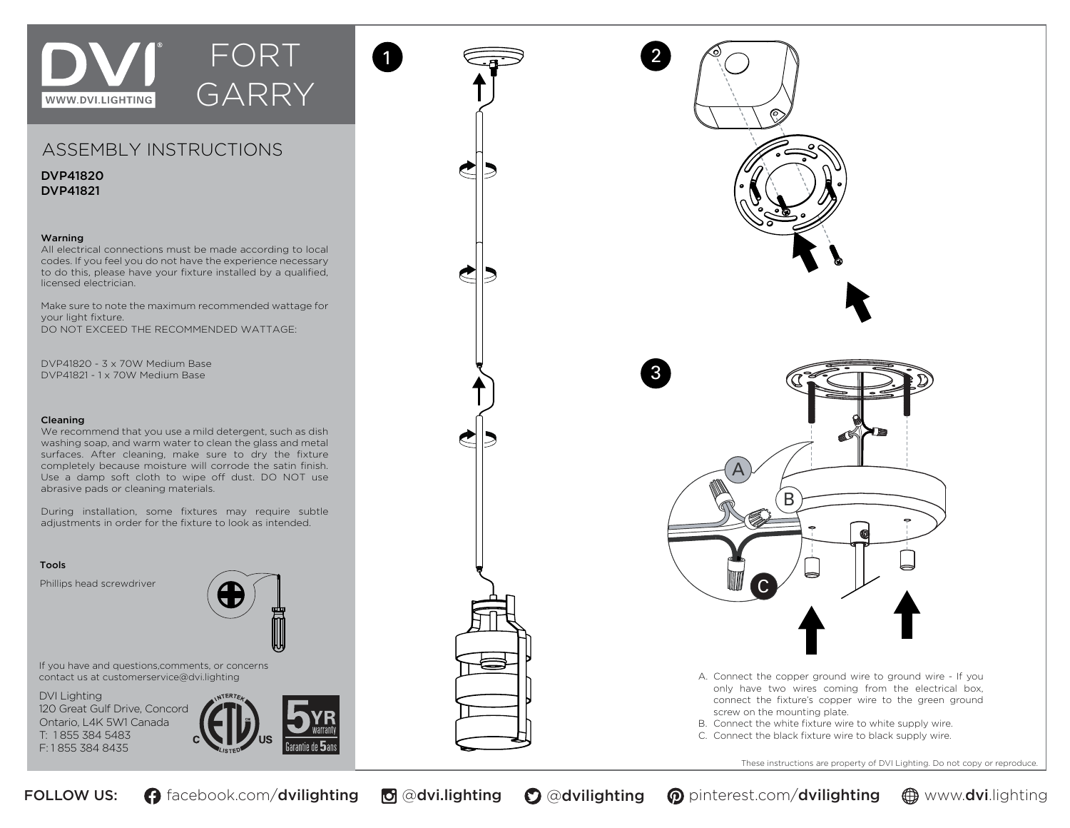



FORT

 $\overline{1}$ 

GARRY

DVP41820 DVP41821

# Warning

All electrical connections must be made according to local codes. If you feel you do not have the experience necessary to do this, please have your fixture installed by a qualified, licensed electrician.

Make sure to note the maximum recommended wattage for your light fixture. DO NOT EXCEED THE RECOMMENDED WATTAGE:

DVP41820 - 3 x 70W Medium Base DVP41821 - 1 x 70W Medium Base

# Cleaning

We recommend that you use a mild detergent, such as dish washing soap, and warm water to clean the glass and metal surfaces. After cleaning, make sure to dry the fixture completely because moisture will corrode the satin finish. Use a damp soft cloth to wipe off dust. DO NOT use abrasive pads or cleaning materials.

During installation, some fixtures may require subtle adjustments in order for the fixture to look as intended.

## Tools

Phillips head screwdriver



If you have and questions,comments, or concerns contact us at customerservice@dvi.lighting

DVI Lighting 120 Great Gulf Drive, Concord Ontario, L4K 5W1 Canada T: 1 855 384 5483 F: 1 855 384 8435





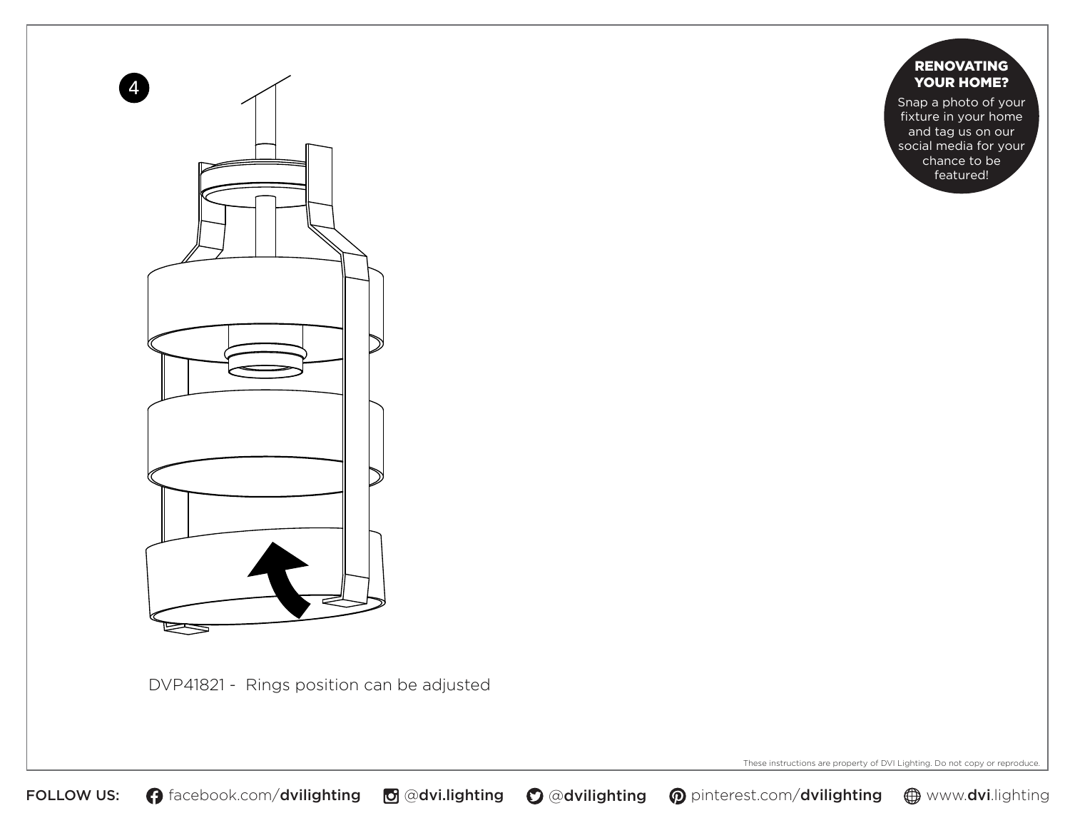

RENOVATING YOUR HOME?

Snap a photo of your fixture in your home and tag us on our social media for your chance to be featured!

DVP41821 - Rings position can be adjusted

These instructions are property of DVI Lighting. Do not copy or reproduce.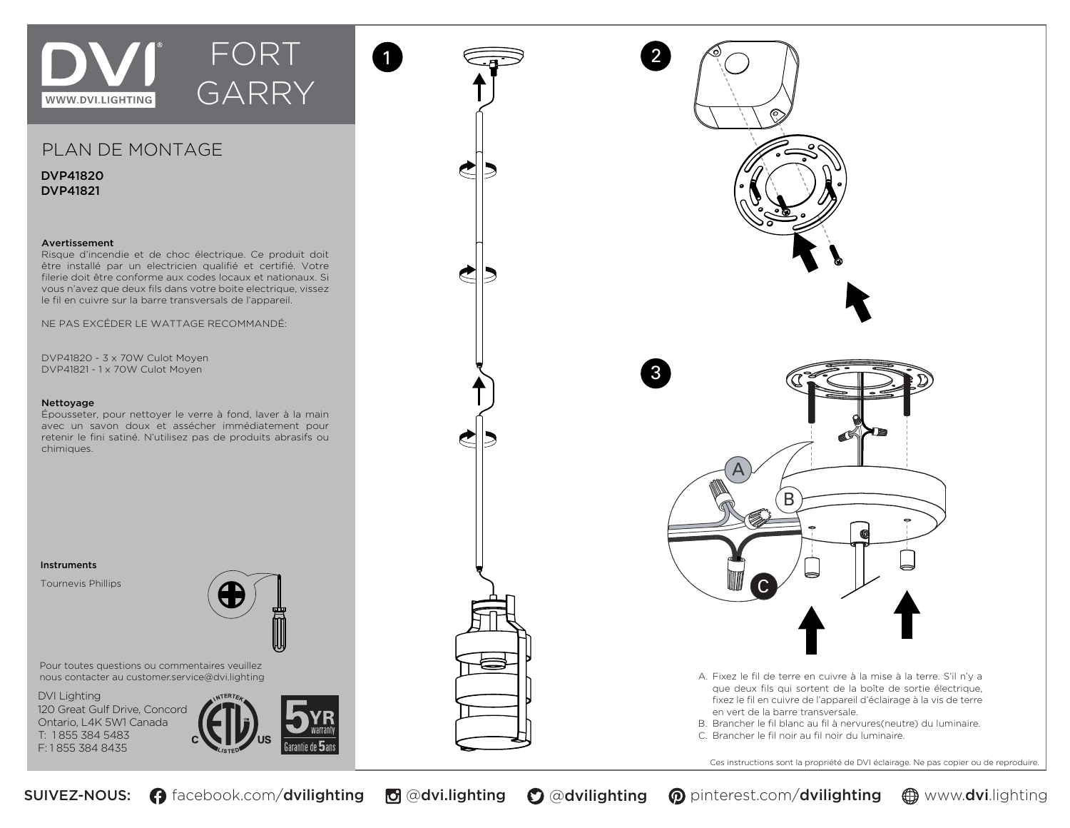

# PLAN DE MONTAGE

DVP41820 DVP41821

### Avertissement

Risque d'incendie et de choc électrique. Ce produit doit être installé par un electricien qualifié et certifié. Votre filerie doit être conforme aux codes locaux et nationaux. Si vous n'avez que deux fils dans votre boite electrique, vissez le fil en cuivre sur la barre transversals de l'appareil.

FORT

1

GARRY

NE PAS EXCÉDER LE WATTAGE RECOMMANDÉ:

DVP41820 - 3 x 70W Culot Moyen DVP41821 - 1 x 70W Culot Moyen

### Nettoyage

Épousseter, pour nettoyer le verre à fond, laver à la main avec un savon doux et assécher immédiatement pour retenir le fini satiné. N'utilisez pas de produits abrasifs ou chimiques.

Instruments

Tournevis Phillips



Pour toutes questions ou commentaires veuillez nous contacter au customer.service@dvi.lighting

DVI Lighting 120 Great Gulf Drive, Concord Ontario, L4K 5W1 Canada T: 1 855 384 5483 F: 1 855 384 8435



A. Fixez le fil de terre en cuivre à la mise à la terre. S'il n'y a que deux fils qui sortent de la boîte de sortie électrique, fixez le fil en cuivre de l'appareil d'éclairage à la vis de terre en vert de la barre transversale. B. Brancher le fil blanc au fil à nervures(neutre) du luminaire. C. Brancher le fil noir au fil noir du luminaire. A B C 2 3

Ces instructions sont la propriété de DVI éclairage. Ne pas copier ou de reproduire.